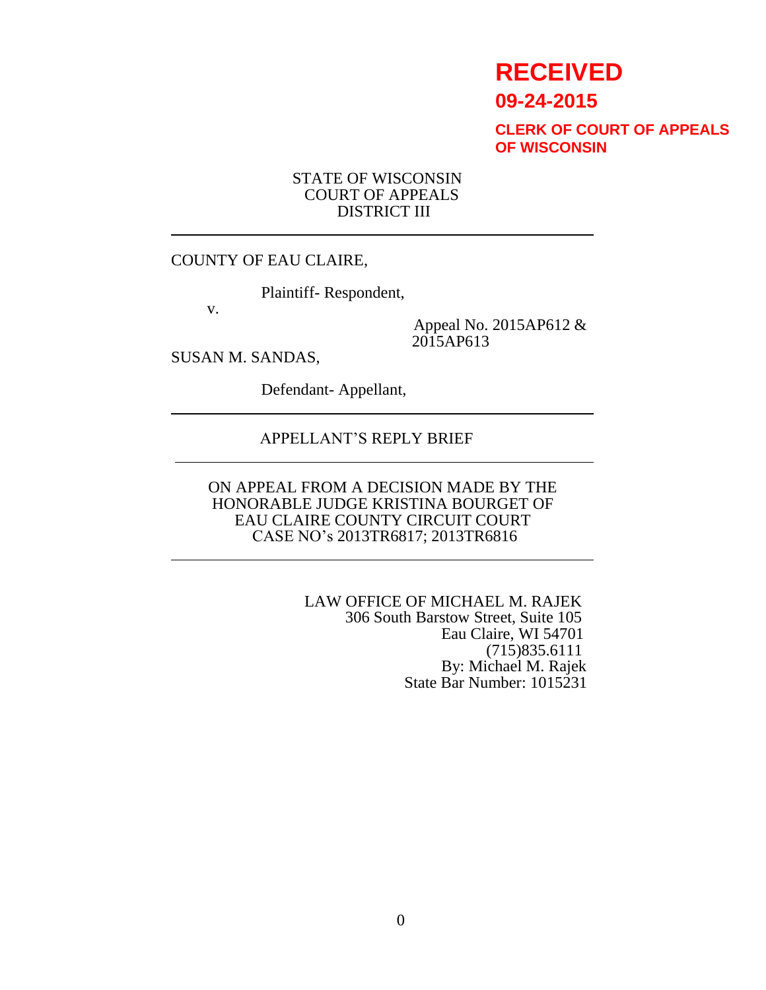# **RECEIVED**

**09-24-2015**

**CLERK OF COURT OF APPEALS OF WISCONSIN**

#### STATE OF WISCONSIN COURT OF APPEALS DISTRICT III

#### COUNTY OF EAU CLAIRE,

Plaintiff- Respondent,

v.

Appeal No. 2015AP612 & 2015AP613

SUSAN M. SANDAS,

Defendant- Appellant,

## APPELLANT'S REPLY BRIEF

ON APPEAL FROM A DECISION MADE BY THE HONORABLE JUDGE KRISTINA BOURGET OF EAU CLAIRE COUNTY CIRCUIT COURT CASE NO's 2013TR6817; 2013TR6816

> LAW OFFICE OF MICHAEL M. RAJEK 306 South Barstow Street, Suite 105 Eau Claire, WI 54701 (715)835.6111 By: Michael M. Rajek State Bar Number: 1015231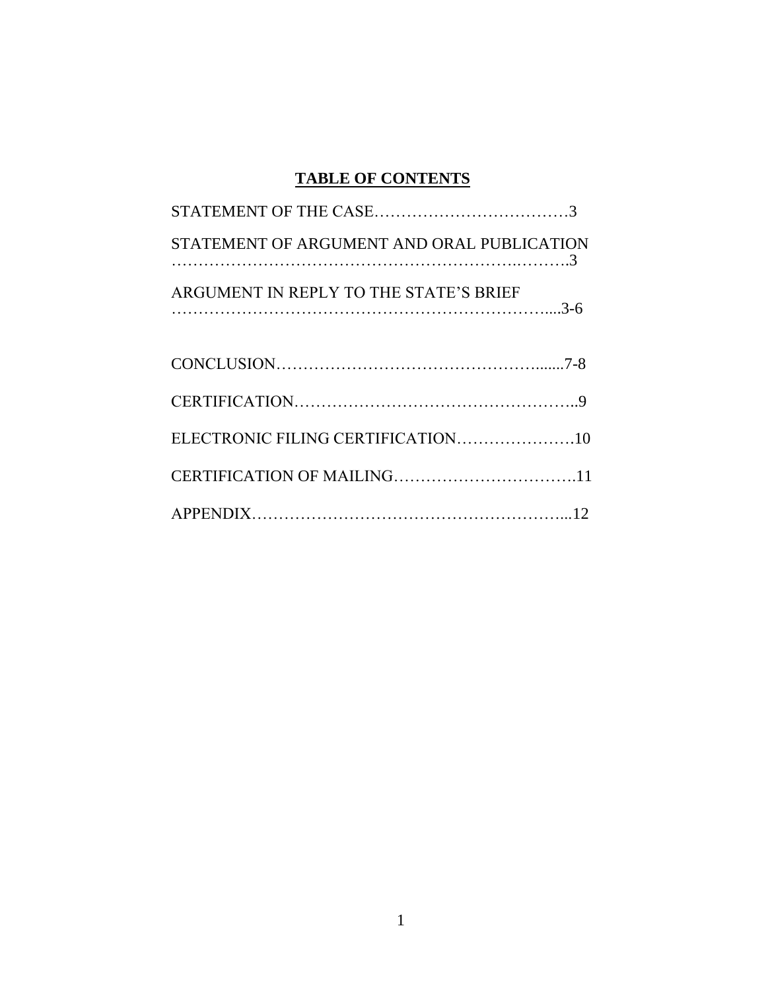# **TABLE OF CONTENTS**

| STATEMENT OF ARGUMENT AND ORAL PUBLICATION |  |
|--------------------------------------------|--|
| ARGUMENT IN REPLY TO THE STATE'S BRIEF     |  |
|                                            |  |
|                                            |  |
|                                            |  |
|                                            |  |
|                                            |  |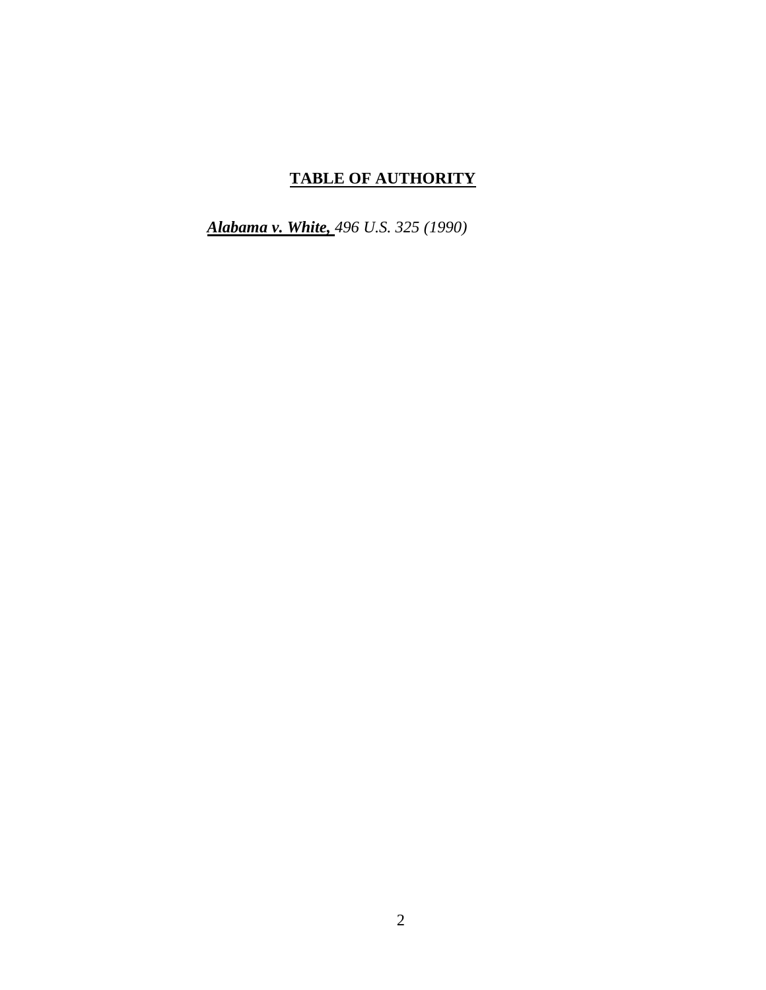# **TABLE OF AUTHORITY**

*Alabama v. White, 496 U.S. 325 (1990)*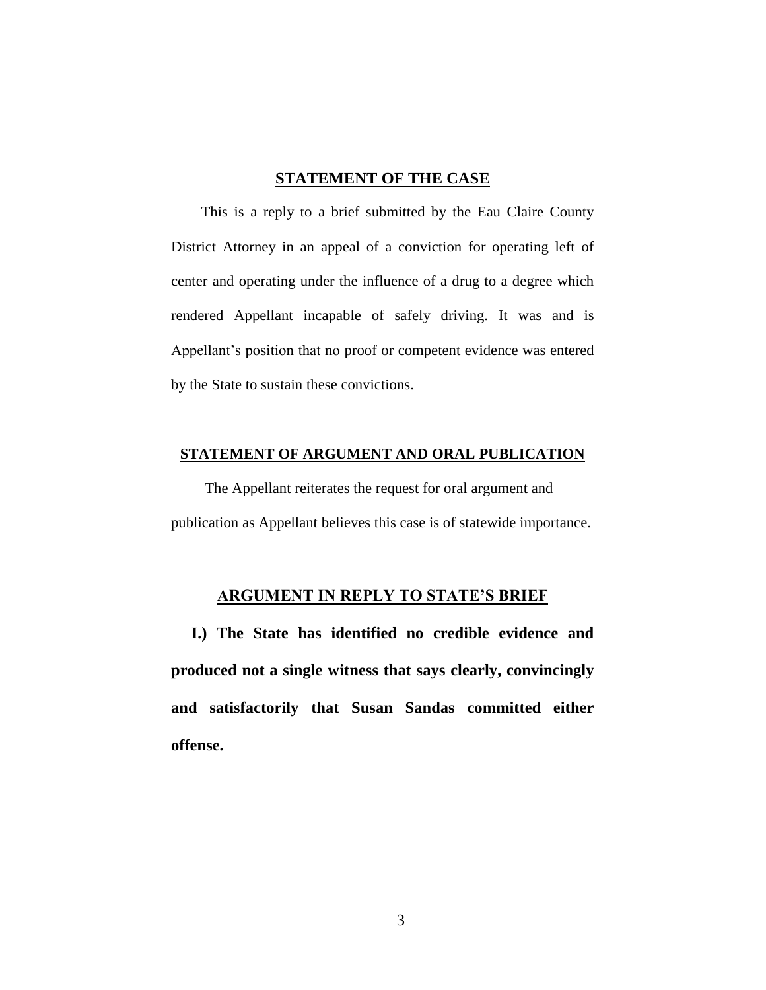#### **STATEMENT OF THE CASE**

 This is a reply to a brief submitted by the Eau Claire County District Attorney in an appeal of a conviction for operating left of center and operating under the influence of a drug to a degree which rendered Appellant incapable of safely driving. It was and is Appellant's position that no proof or competent evidence was entered by the State to sustain these convictions.

#### **STATEMENT OF ARGUMENT AND ORAL PUBLICATION**

 The Appellant reiterates the request for oral argument and publication as Appellant believes this case is of statewide importance.

#### **ARGUMENT IN REPLY TO STATE'S BRIEF**

 **I.) The State has identified no credible evidence and produced not a single witness that says clearly, convincingly and satisfactorily that Susan Sandas committed either offense.**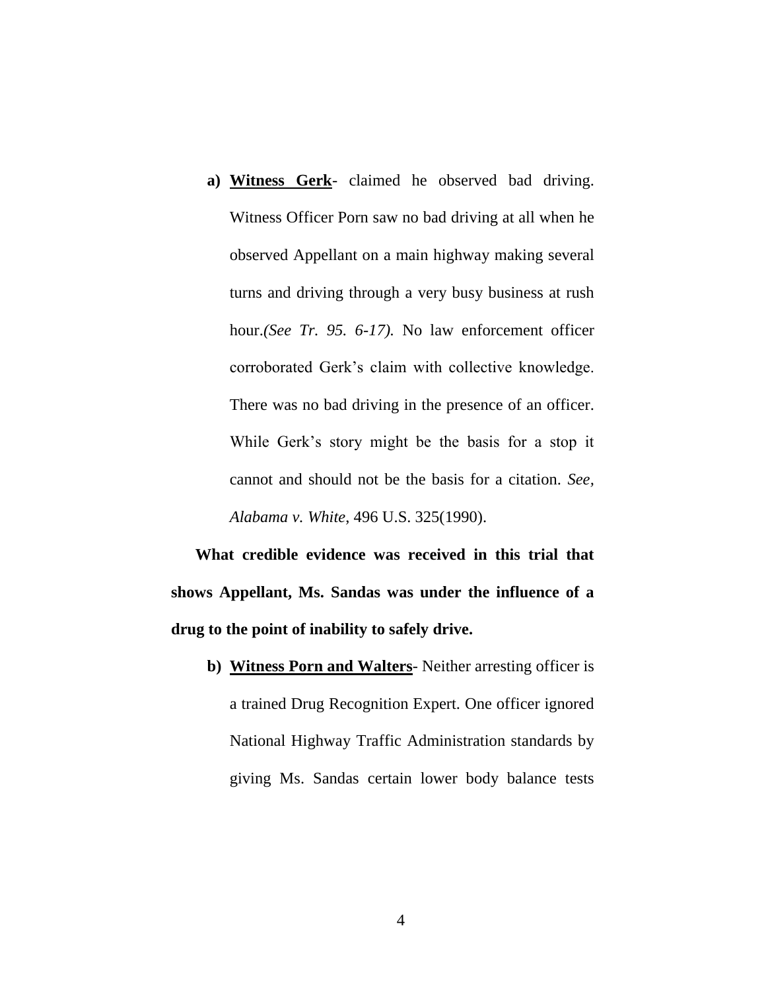**a) Witness Gerk**- claimed he observed bad driving. Witness Officer Porn saw no bad driving at all when he observed Appellant on a main highway making several turns and driving through a very busy business at rush hour.*(See Tr. 95. 6-17).* No law enforcement officer corroborated Gerk's claim with collective knowledge. There was no bad driving in the presence of an officer. While Gerk's story might be the basis for a stop it cannot and should not be the basis for a citation. *See, Alabama v. White*, 496 U.S. 325(1990).

 **What credible evidence was received in this trial that shows Appellant, Ms. Sandas was under the influence of a drug to the point of inability to safely drive.**

**b) Witness Porn and Walters**- Neither arresting officer is a trained Drug Recognition Expert. One officer ignored National Highway Traffic Administration standards by giving Ms. Sandas certain lower body balance tests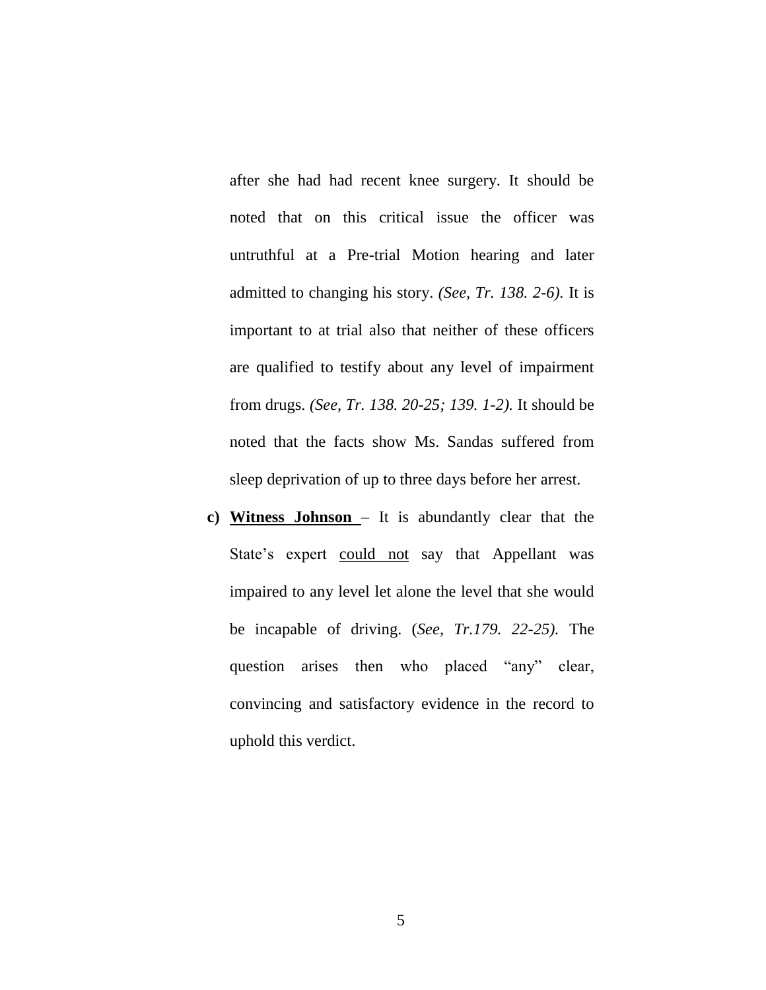after she had had recent knee surgery. It should be noted that on this critical issue the officer was untruthful at a Pre-trial Motion hearing and later admitted to changing his story. *(See, Tr. 138. 2-6).* It is important to at trial also that neither of these officers are qualified to testify about any level of impairment from drugs. *(See, Tr. 138. 20-25; 139. 1-2).* It should be noted that the facts show Ms. Sandas suffered from sleep deprivation of up to three days before her arrest.

**c) Witness Johnson** – It is abundantly clear that the State's expert could not say that Appellant was impaired to any level let alone the level that she would be incapable of driving. (*See, Tr.179. 22-25).* The question arises then who placed "any" clear, convincing and satisfactory evidence in the record to uphold this verdict.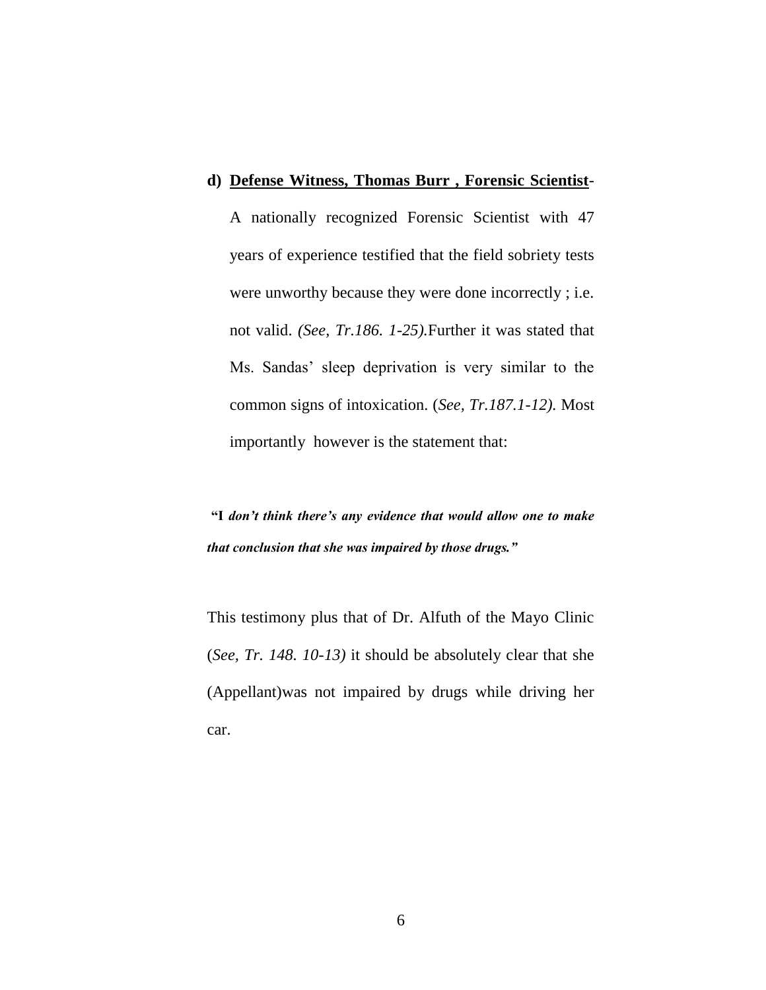#### **d) Defense Witness, Thomas Burr , Forensic Scientist**-

A nationally recognized Forensic Scientist with 47 years of experience testified that the field sobriety tests were unworthy because they were done incorrectly ; i.e. not valid. *(See, Tr.186. 1-25).*Further it was stated that Ms. Sandas' sleep deprivation is very similar to the common signs of intoxication. (*See, Tr.187.1-12).* Most importantly however is the statement that:

**"I** *don't think there's any evidence that would allow one to make that conclusion that she was impaired by those drugs."*

This testimony plus that of Dr. Alfuth of the Mayo Clinic (*See, Tr. 148. 10-13)* it should be absolutely clear that she (Appellant)was not impaired by drugs while driving her car.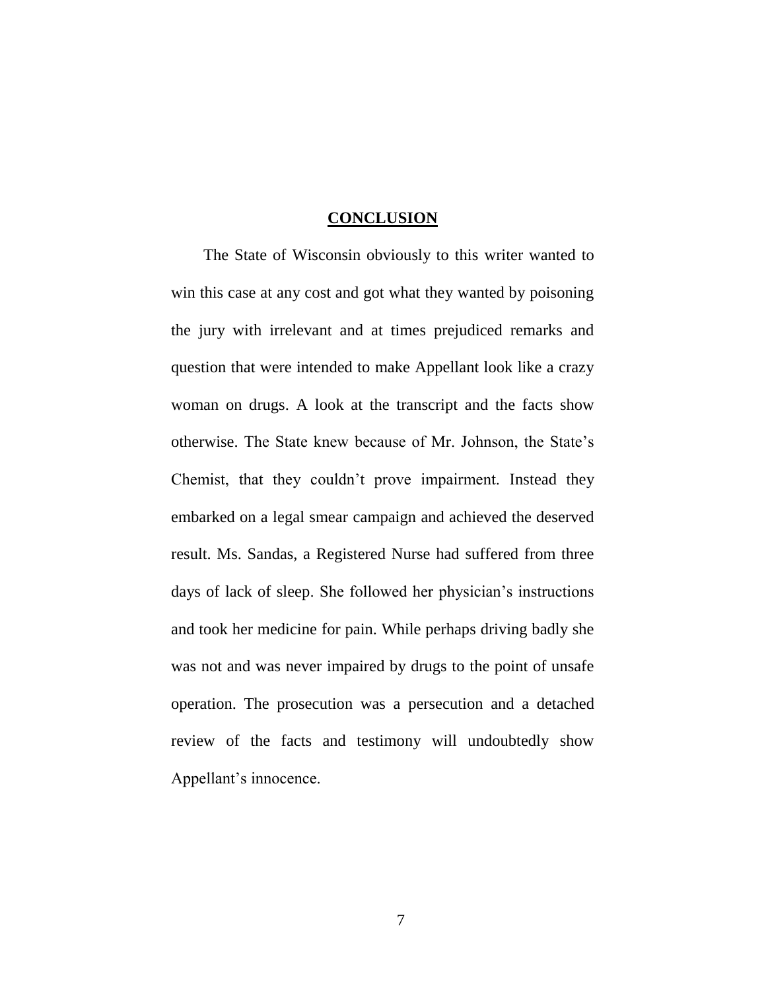#### **CONCLUSION**

 The State of Wisconsin obviously to this writer wanted to win this case at any cost and got what they wanted by poisoning the jury with irrelevant and at times prejudiced remarks and question that were intended to make Appellant look like a crazy woman on drugs. A look at the transcript and the facts show otherwise. The State knew because of Mr. Johnson, the State's Chemist, that they couldn't prove impairment. Instead they embarked on a legal smear campaign and achieved the deserved result. Ms. Sandas, a Registered Nurse had suffered from three days of lack of sleep. She followed her physician's instructions and took her medicine for pain. While perhaps driving badly she was not and was never impaired by drugs to the point of unsafe operation. The prosecution was a persecution and a detached review of the facts and testimony will undoubtedly show Appellant's innocence.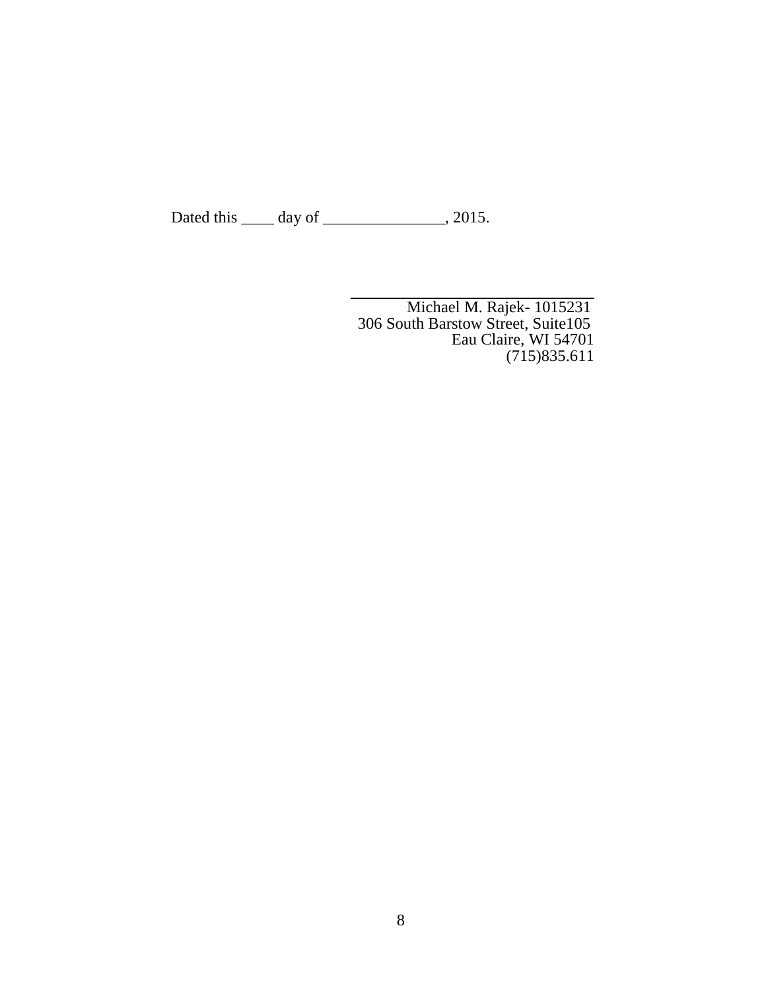Dated this \_\_\_\_\_ day of \_\_\_\_\_\_\_\_\_\_\_\_\_, 2015.

Michael M. Rajek- 1015231 306 South Barstow Street, Suite105 Eau Claire, WI 54701 (715)835.611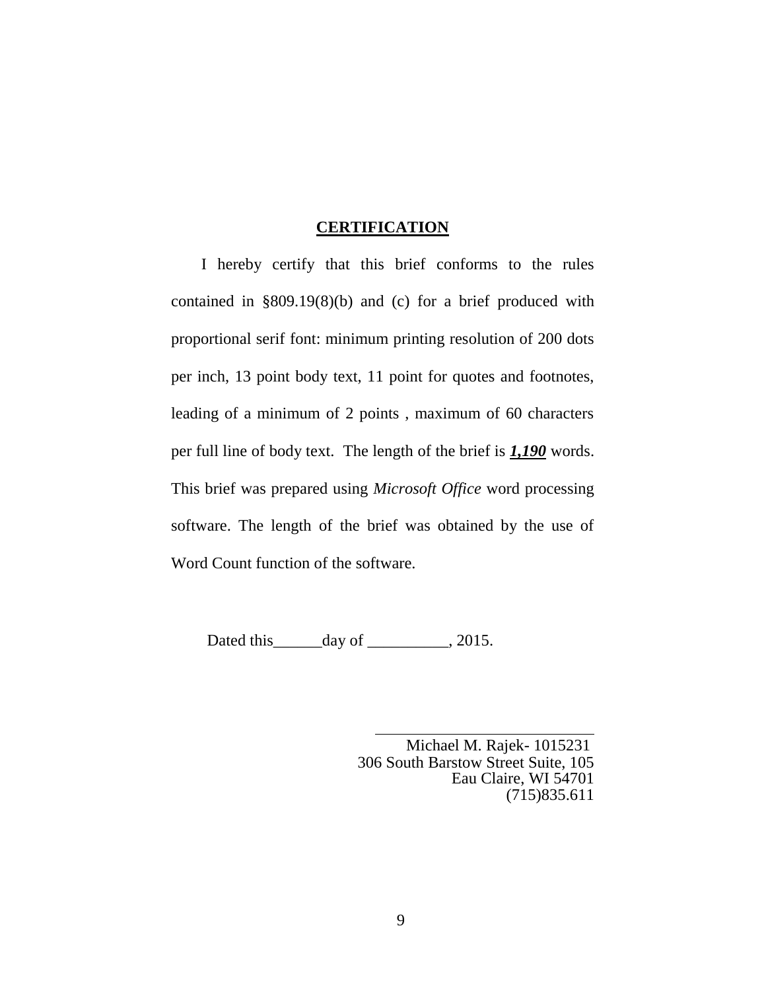#### **CERTIFICATION**

 I hereby certify that this brief conforms to the rules contained in §809.19(8)(b) and (c) for a brief produced with proportional serif font: minimum printing resolution of 200 dots per inch, 13 point body text, 11 point for quotes and footnotes, leading of a minimum of 2 points , maximum of 60 characters per full line of body text. The length of the brief is *1,190* words. This brief was prepared using *Microsoft Office* word processing software. The length of the brief was obtained by the use of Word Count function of the software.

Dated this \_\_\_\_\_\_\_\_ day of \_\_\_\_\_\_\_\_\_\_, 2015.

 Michael M. Rajek- 1015231 306 South Barstow Street Suite, 105 Eau Claire, WI 54701 (715)835.611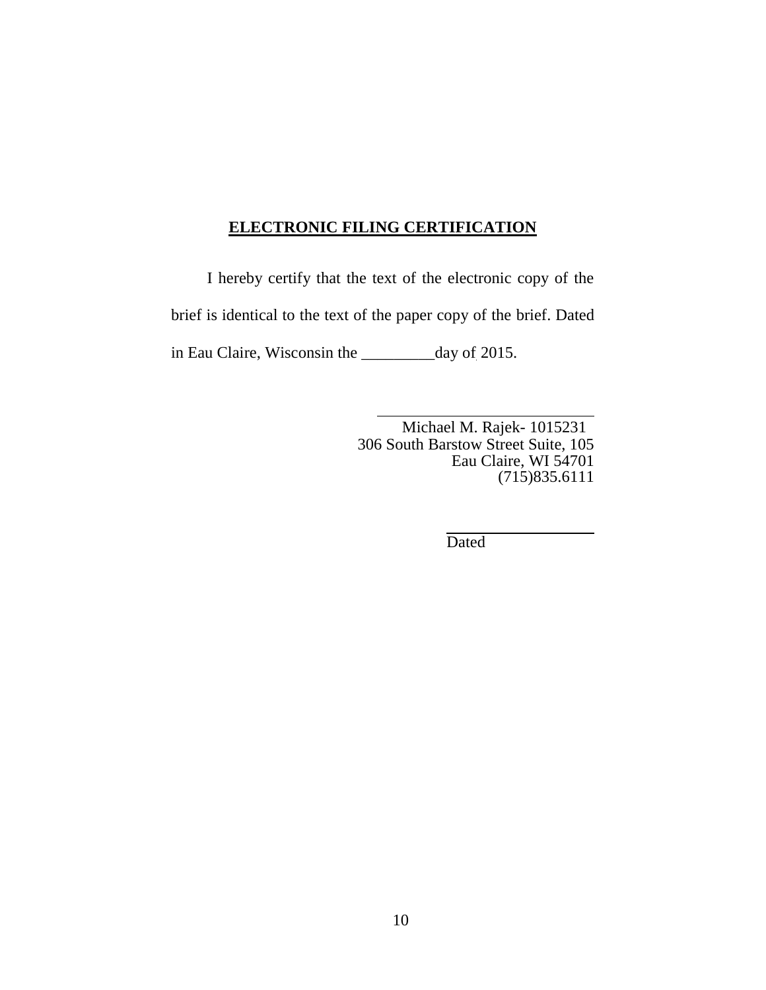### **ELECTRONIC FILING CERTIFICATION**

I hereby certify that the text of the electronic copy of the brief is identical to the text of the paper copy of the brief. Dated in Eau Claire, Wisconsin the \_\_\_\_\_\_\_\_\_day of 2015.

> Michael M. Rajek- 1015231 306 South Barstow Street Suite, 105 Eau Claire, WI 54701 (715)835.6111

> > Dated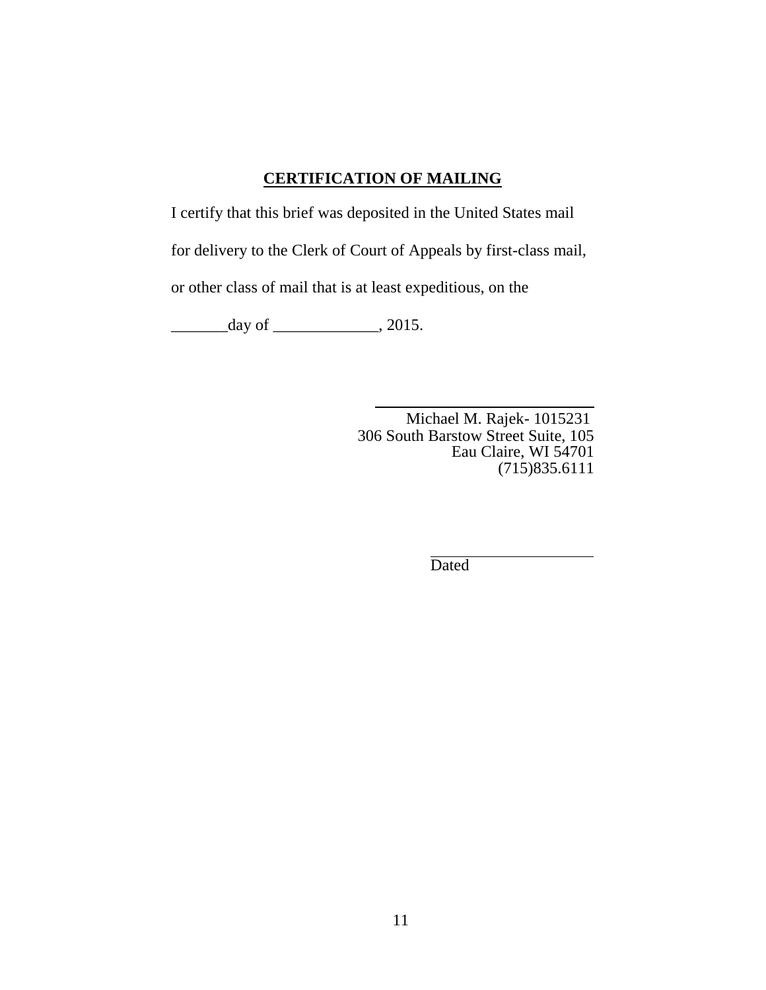## **CERTIFICATION OF MAILING**

I certify that this brief was deposited in the United States mail

for delivery to the Clerk of Court of Appeals by first-class mail,

or other class of mail that is at least expeditious, on the

 $\frac{day}{x}$  of  $\frac{1}{2015}$ .

 Michael M. Rajek- 1015231 306 South Barstow Street Suite, 105 Eau Claire, WI 54701 (715)835.6111

Dated